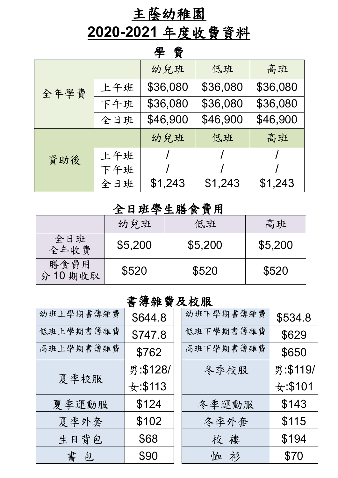## 主蔭幼稚園

# **2020-2021** 年度收費資料

#### 學 費

| 全年學費 |     | 幼兒班      | 低班       | 高班       |
|------|-----|----------|----------|----------|
|      | 上午班 | \$36,080 | \$36,080 | \$36,080 |
|      | 下午班 | \$36,080 | \$36,080 | \$36,080 |
|      | 全日班 | \$46,900 | \$46,900 | \$46,900 |
|      |     | 幼兒班      | 低班       | 高班       |
| 資助後  | 上午班 |          |          |          |
|      | 下午班 |          |          |          |
|      | 全日班 | \$1,243  | \$1,243  | \$1,243  |

### 全日班學生膳食費用

|                |         | .       |         |
|----------------|---------|---------|---------|
|                | 幼兒班     | 低班      | 高班      |
| 全日班<br>全年收費    | \$5,200 | \$5,200 | \$5,200 |
| 膳食費用<br>分10期收取 | \$520   | \$520   | \$520   |

### 書簿雜費及校服

| 幼班上學期書簿雜費 | \$644.8      | 幼班下學期書簿雜費 | \$534.8     |
|-----------|--------------|-----------|-------------|
| 低班上學期書簿雜費 | \$747.8      | 低班下學期書簿雜費 | \$629       |
| 高班上學期書簿雜費 | \$762        | 高班下學期書簿雜費 | \$650       |
|           | 男:\$128/     | 冬季校服      | 男:\$119/    |
| 夏季校服      | $\pm : $113$ |           | $\pm: $101$ |
| 夏季運動服     | \$124        | 冬季運動服     | \$143       |
| 夏季外套      | \$102        | 冬季外套      | \$115       |
| 生日背包      | \$68         | 校 褸       | \$194       |
| 書包        | \$90         | 恤衫        | \$70        |